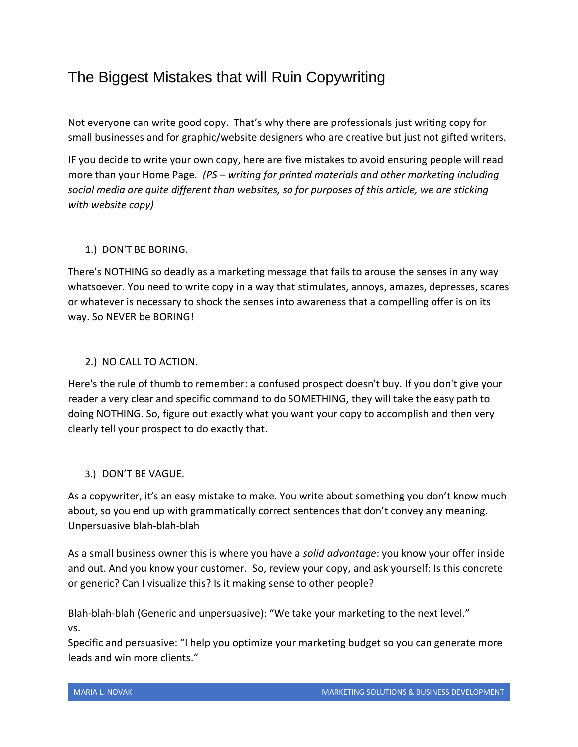# The Biggest Mistakes that will Ruin Copywriting

Not everyone can write good copy. That's why there are professionals just writing copy for small businesses and for graphic/website designers who are creative but just not gifted writers.

IF you decide to write your own copy, here are five mistakes to avoid ensuring people will read more than your Home Page*. (PS – writing for printed materials and other marketing including social media are quite different than websites, so for purposes of this article, we are sticking with website copy)*

## 1.) DON'T BE BORING.

There's NOTHING so deadly as a marketing message that fails to arouse the senses in any way whatsoever. You need to write copy in a way that stimulates, annoys, amazes, depresses, scares or whatever is necessary to shock the senses into awareness that a compelling offer is on its way. So NEVER be BORING!

### 2.) NO CALL TO ACTION.

Here's the rule of thumb to remember: a confused prospect doesn't buy. If you don't give your reader a very clear and specific command to do SOMETHING, they will take the easy path to doing NOTHING. So, figure out exactly what you want your copy to accomplish and then very clearly tell your prospect to do exactly that.

### 3.) DON'T BE VAGUE.

As a copywriter, it's an easy mistake to make. You write about something you don't know much about, so you end up with grammatically correct sentences that don't convey any meaning. Unpersuasive blah-blah-blah

As a small business owner this is where you have a *solid advantage*: you know your offer inside and out. And you know your customer. So, review your copy, and ask yourself: Is this concrete or generic? Can I visualize this? Is it making sense to other people?

Blah-blah-blah (Generic and unpersuasive): "We take your marketing to the next level." vs.

Specific and persuasive: "I help you optimize your marketing budget so you can generate more leads and win more clients."